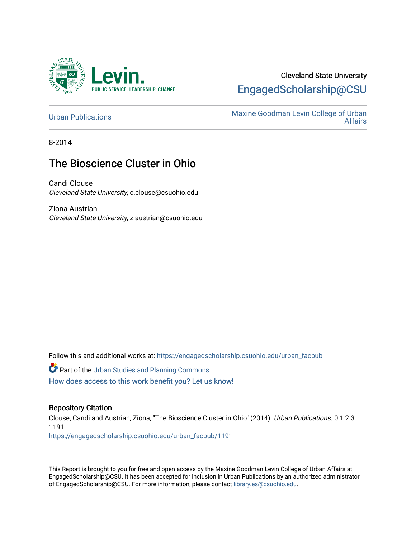

# Cleveland State University [EngagedScholarship@CSU](https://engagedscholarship.csuohio.edu/)

[Urban Publications](https://engagedscholarship.csuohio.edu/urban_facpub) Maxine Goodman Levin College of Urban [Affairs](https://engagedscholarship.csuohio.edu/urban) 

8-2014

# The Bioscience Cluster in Ohio

Candi Clouse Cleveland State University, c.clouse@csuohio.edu

Ziona Austrian Cleveland State University, z.austrian@csuohio.edu

Follow this and additional works at: [https://engagedscholarship.csuohio.edu/urban\\_facpub](https://engagedscholarship.csuohio.edu/urban_facpub?utm_source=engagedscholarship.csuohio.edu%2Furban_facpub%2F1191&utm_medium=PDF&utm_campaign=PDFCoverPages) 

**Part of the [Urban Studies and Planning Commons](http://network.bepress.com/hgg/discipline/436?utm_source=engagedscholarship.csuohio.edu%2Furban_facpub%2F1191&utm_medium=PDF&utm_campaign=PDFCoverPages)** [How does access to this work benefit you? Let us know!](http://library.csuohio.edu/engaged/)

#### Repository Citation

Clouse, Candi and Austrian, Ziona, "The Bioscience Cluster in Ohio" (2014). Urban Publications. 0 1 2 3 1191. [https://engagedscholarship.csuohio.edu/urban\\_facpub/1191](https://engagedscholarship.csuohio.edu/urban_facpub/1191?utm_source=engagedscholarship.csuohio.edu%2Furban_facpub%2F1191&utm_medium=PDF&utm_campaign=PDFCoverPages) 

This Report is brought to you for free and open access by the Maxine Goodman Levin College of Urban Affairs at EngagedScholarship@CSU. It has been accepted for inclusion in Urban Publications by an authorized administrator of EngagedScholarship@CSU. For more information, please contact [library.es@csuohio.edu.](mailto:library.es@csuohio.edu)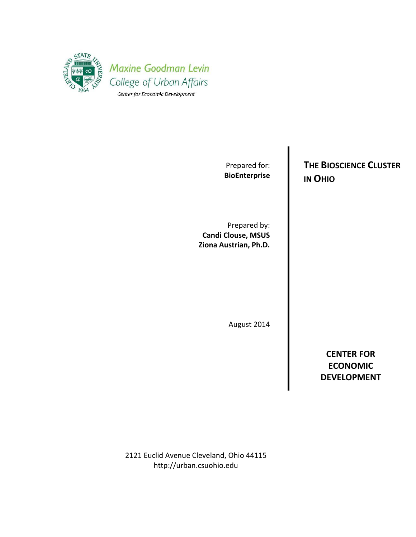

Prepared for: **BioEnterprise**

Prepared by: **Candi Clouse, MSUS Ziona Austrian, Ph.D.**

August 2014

**CENTER FOR ECONOMIC DEVELOPMENT**

2121 Euclid Avenue Cleveland, Ohio 44115 http://urban.csuohio.edu

**THE BIOSCIENCE CLUSTER IN OHIO**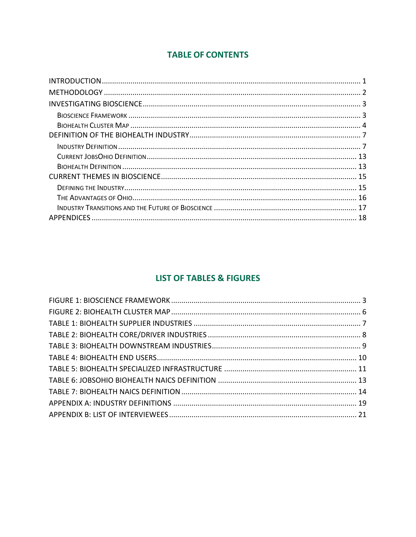# **TABLE OF CONTENTS**

# **LIST OF TABLES & FIGURES**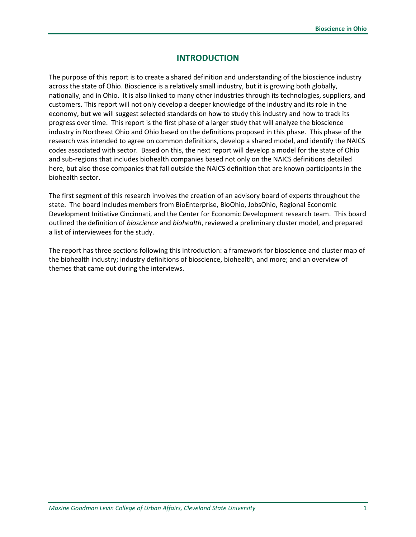# **INTRODUCTION**

The purpose of this report is to create a shared definition and understanding of the bioscience industry across the state of Ohio. Bioscience is a relatively small industry, but it is growing both globally, nationally, and in Ohio. It is also linked to many other industries through its technologies, suppliers, and customers. This report will not only develop a deeper knowledge of the industry and its role in the economy, but we will suggest selected standards on how to study this industry and how to track its progress over time. This report is the first phase of a larger study that will analyze the bioscience industry in Northeast Ohio and Ohio based on the definitions proposed in this phase. This phase of the research was intended to agree on common definitions, develop a shared model, and identify the NAICS codes associated with sector. Based on this, the next report will develop a model for the state of Ohio and sub-regions that includes biohealth companies based not only on the NAICS definitions detailed here, but also those companies that fall outside the NAICS definition that are known participants in the biohealth sector.

The first segment of this research involves the creation of an advisory board of experts throughout the state. The board includes members from BioEnterprise, BioOhio, JobsOhio, Regional Economic Development Initiative Cincinnati, and the Center for Economic Development research team. This board outlined the definition of *bioscience* and *biohealth*, reviewed a preliminary cluster model, and prepared a list of interviewees for the study.

The report has three sections following this introduction: a framework for bioscience and cluster map of the biohealth industry; industry definitions of bioscience, biohealth, and more; and an overview of themes that came out during the interviews.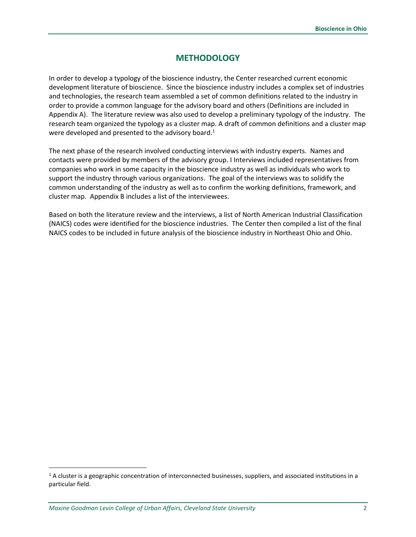# **METHODOLOGY**

In order to develop a typology of the bioscience industry, the Center researched current economic development literature of bioscience. Since the bioscience industry includes a complex set of industries and technologies, the research team assembled a set of common definitions related to the industry in order to provide a common language for the advisory board and others (Definitions are included in Appendix A). The literature review was also used to develop a preliminary typology of the industry. The research team organized the typology as a cluster map. A draft of common definitions and a cluster map were developed and presented to the advisory board.<sup>1</sup>

The next phase of the research involved conducting interviews with industry experts. Names and contacts were provided by members of the advisory group. I Interviews included representatives from companies who work in some capacity in the bioscience industry as well as individuals who work to support the industry through various organizations. The goal of the interviews was to solidify the common understanding of the industry as well as to confirm the working definitions, framework, and cluster map. Appendix B includes a list of the interviewees.

Based on both the literature review and the interviews, a list of North American Industrial Classification (NAICS) codes were identified for the bioscience industries. The Center then compiled a list of the final NAICS codes to be included in future analysis of the bioscience industry in Northeast Ohio and Ohio.

 $1/1$  A cluster is a geographic concentration of interconnected businesses, suppliers, and associated institutions in a particular field.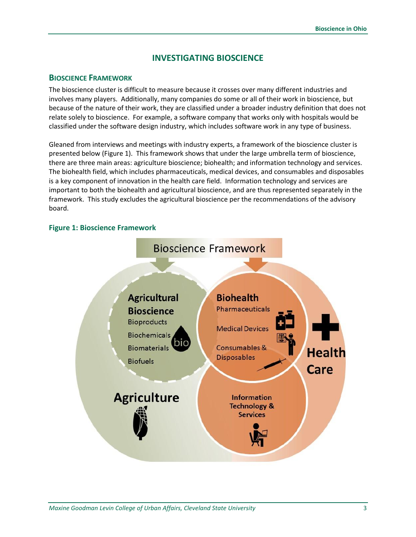# **INVESTIGATING BIOSCIENCE**

#### **BIOSCIENCE FRAMEWORK**

The bioscience cluster is difficult to measure because it crosses over many different industries and involves many players. Additionally, many companies do some or all of their work in bioscience, but because of the nature of their work, they are classified under a broader industry definition that does not relate solely to bioscience. For example, a software company that works only with hospitals would be classified under the software design industry, which includes software work in any type of business.

Gleaned from interviews and meetings with industry experts, a framework of the bioscience cluster is presented below (Figure 1). This framework shows that under the large umbrella term of bioscience, there are three main areas: agriculture bioscience; biohealth; and information technology and services. The biohealth field, which includes pharmaceuticals, medical devices, and consumables and disposables is a key component of innovation in the health care field. Information technology and services are important to both the biohealth and agricultural bioscience, and are thus represented separately in the framework. This study excludes the agricultural bioscience per the recommendations of the advisory board.

#### <span id="page-6-0"></span>**Figure 1: Bioscience Framework**

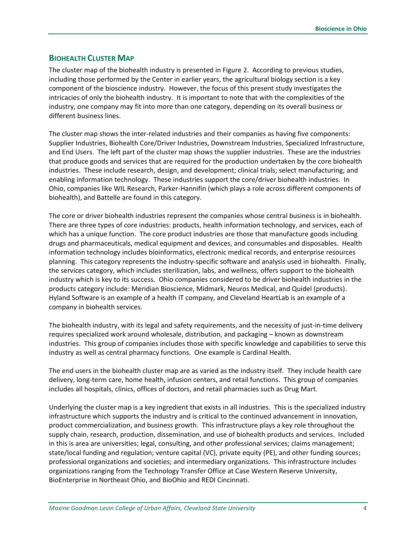## **BIOHEALTH CLUSTER MAP**

The cluster map of the biohealth industry is presented in Figure 2. According to previous studies, including those performed by the Center in earlier years, the agricultural biology section is a key component of the bioscience industry. However, the focus of this present study investigates the intricacies of only the biohealth industry. It is important to note that with the complexities of the industry, one company may fit into more than one category, depending on its overall business or different business lines.

The cluster map shows the inter-related industries and their companies as having five components: Supplier Industries, Biohealth Core/Driver Industries, Downstream Industries, Specialized Infrastructure, and End Users. The left part of the cluster map shows the supplier industries. These are the industries that produce goods and services that are required for the production undertaken by the core biohealth industries. These include research, design, and development; clinical trials; select manufacturing; and enabling information technology. These industries support the core/driver biohealth industries. In Ohio, companies like WIL Research, Parker-Hannifin (which plays a role across different components of biohealth), and Battelle are found in this category.

The core or driver biohealth industries represent the companies whose central business is in biohealth. There are three types of core industries: products, health information technology, and services, each of which has a unique function. The core product industries are those that manufacture goods including drugs and pharmaceuticals, medical equipment and devices, and consumables and disposables. Health information technology includes bioinformatics, electronic medical records, and enterprise resources planning. This category represents the industry-specific software and analysis used in biohealth. Finally, the services category, which includes sterilization, labs, and wellness, offers support to the biohealth industry which is key to its success. Ohio companies considered to be driver biohealth industries in the products category include: Meridian Bioscience, Midmark, Neuros Medical, and Quidel (products). Hyland Software is an example of a health IT company, and Cleveland HeartLab is an example of a company in biohealth services.

The biohealth industry, with its legal and safety requirements, and the necessity of just-in-time delivery requires specialized work around wholesale, distribution, and packaging – known as downstream industries. This group of companies includes those with specific knowledge and capabilities to serve this industry as well as central pharmacy functions. One example is Cardinal Health.

The end users in the biohealth cluster map are as varied as the industry itself. They include health care delivery, long-term care, home health, infusion centers, and retail functions. This group of companies includes all hospitals, clinics, offices of doctors, and retail pharmacies such as Drug Mart.

Underlying the cluster map is a key ingredient that exists in all industries. This is the specialized industry infrastructure which supports the industry and is critical to the continued advancement in innovation, product commercialization, and business growth. This infrastructure plays a key role throughout the supply chain, research, production, dissemination, and use of biohealth products and services. Included in this is area are universities; legal, consulting, and other professional services; claims management; state/local funding and regulation; venture capital (VC), private equity (PE), and other funding sources; professional organizations and societies; and intermediary organizations. This infrastructure includes organizations ranging from the Technology Transfer Office at Case Western Reserve University, BioEnterprise in Northeast Ohio, and BioOhio and REDI Cincinnati.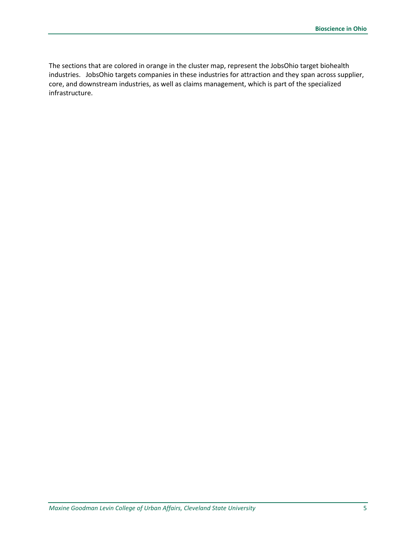The sections that are colored in orange in the cluster map, represent the JobsOhio target biohealth industries. JobsOhio targets companies in these industries for attraction and they span across supplier, core, and downstream industries, as well as claims management, which is part of the specialized infrastructure.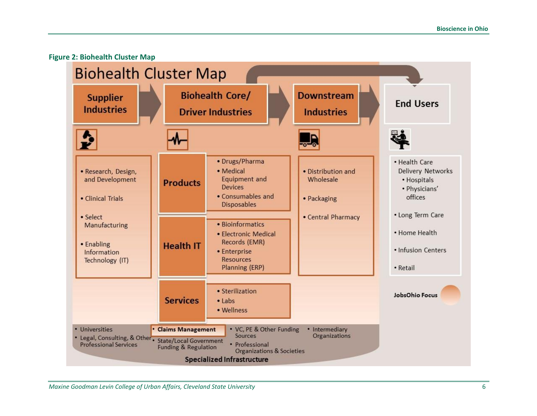

<span id="page-9-0"></span>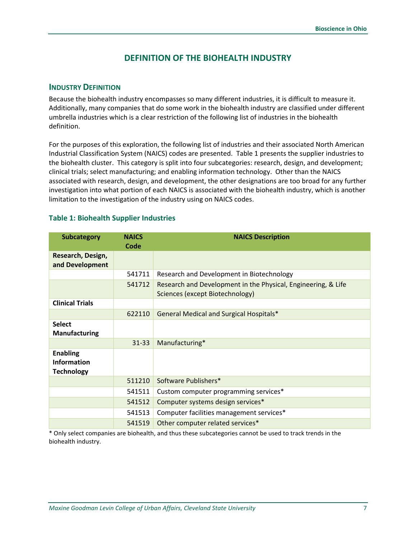# **DEFINITION OF THE BIOHEALTH INDUSTRY**

#### **INDUSTRY DEFINITION**

Because the biohealth industry encompasses so many different industries, it is difficult to measure it. Additionally, many companies that do some work in the biohealth industry are classified under different umbrella industries which is a clear restriction of the following list of industries in the biohealth definition.

For the purposes of this exploration, the following list of industries and their associated North American Industrial Classification System (NAICS) codes are presented. Table 1 presents the supplier industries to the biohealth cluster. This category is split into four subcategories: research, design, and development; clinical trials; select manufacturing; and enabling information technology. Other than the NAICS associated with research, design, and development, the other designations are too broad for any further investigation into what portion of each NAICS is associated with the biohealth industry, which is another limitation to the investigation of the industry using on NAICS codes.

#### <span id="page-10-0"></span>**Table 1: Biohealth Supplier Industries**

| <b>Subcategory</b>                                         | <b>NAICS</b> | <b>NAICS Description</b>                                                                         |  |
|------------------------------------------------------------|--------------|--------------------------------------------------------------------------------------------------|--|
|                                                            | Code         |                                                                                                  |  |
| Research, Design,<br>and Development                       |              |                                                                                                  |  |
|                                                            | 541711       | Research and Development in Biotechnology                                                        |  |
|                                                            | 541712       | Research and Development in the Physical, Engineering, & Life<br>Sciences (except Biotechnology) |  |
| <b>Clinical Trials</b>                                     |              |                                                                                                  |  |
|                                                            | 622110       | <b>General Medical and Surgical Hospitals*</b>                                                   |  |
| <b>Select</b><br><b>Manufacturing</b>                      |              |                                                                                                  |  |
|                                                            | $31 - 33$    | Manufacturing*                                                                                   |  |
| <b>Enabling</b><br><b>Information</b><br><b>Technology</b> |              |                                                                                                  |  |
|                                                            | 511210       | Software Publishers*                                                                             |  |
|                                                            | 541511       | Custom computer programming services*                                                            |  |
|                                                            | 541512       | Computer systems design services*                                                                |  |
|                                                            | 541513       | Computer facilities management services*                                                         |  |
|                                                            | 541519       | Other computer related services*                                                                 |  |

\* Only select companies are biohealth, and thus these subcategories cannot be used to track trends in the biohealth industry.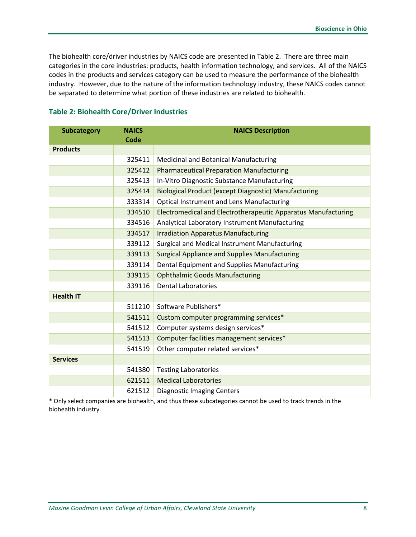The biohealth core/driver industries by NAICS code are presented in Table 2. There are three main categories in the core industries: products, health information technology, and services. All of the NAICS codes in the products and services category can be used to measure the performance of the biohealth industry. However, due to the nature of the information technology industry, these NAICS codes cannot be separated to determine what portion of these industries are related to biohealth.

| <b>Subcategory</b> | <b>NAICS</b><br><b>Code</b> | <b>NAICS Description</b>                                      |  |
|--------------------|-----------------------------|---------------------------------------------------------------|--|
| <b>Products</b>    |                             |                                                               |  |
|                    | 325411                      | <b>Medicinal and Botanical Manufacturing</b>                  |  |
|                    | 325412                      | <b>Pharmaceutical Preparation Manufacturing</b>               |  |
|                    | 325413                      | In-Vitro Diagnostic Substance Manufacturing                   |  |
|                    | 325414                      | Biological Product (except Diagnostic) Manufacturing          |  |
|                    | 333314                      | <b>Optical Instrument and Lens Manufacturing</b>              |  |
|                    | 334510                      | Electromedical and Electrotherapeutic Apparatus Manufacturing |  |
|                    | 334516                      | Analytical Laboratory Instrument Manufacturing                |  |
|                    | 334517                      | <b>Irradiation Apparatus Manufacturing</b>                    |  |
|                    | 339112                      | Surgical and Medical Instrument Manufacturing                 |  |
|                    | 339113                      | <b>Surgical Appliance and Supplies Manufacturing</b>          |  |
|                    | 339114                      | Dental Equipment and Supplies Manufacturing                   |  |
|                    | 339115                      | <b>Ophthalmic Goods Manufacturing</b>                         |  |
|                    | 339116                      | <b>Dental Laboratories</b>                                    |  |
| <b>Health IT</b>   |                             |                                                               |  |
|                    | 511210                      | Software Publishers*                                          |  |
|                    | 541511                      | Custom computer programming services*                         |  |
|                    | 541512                      | Computer systems design services*                             |  |
|                    | 541513                      | Computer facilities management services*                      |  |
|                    | 541519                      | Other computer related services*                              |  |
| <b>Services</b>    |                             |                                                               |  |
|                    | 541380                      | <b>Testing Laboratories</b>                                   |  |
|                    | 621511                      | <b>Medical Laboratories</b>                                   |  |
|                    | 621512                      | <b>Diagnostic Imaging Centers</b>                             |  |

#### <span id="page-11-0"></span>**Table 2: Biohealth Core/Driver Industries**

\* Only select companies are biohealth, and thus these subcategories cannot be used to track trends in the biohealth industry.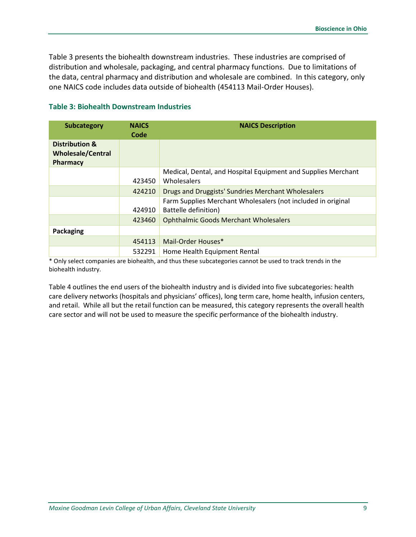Table 3 presents the biohealth downstream industries. These industries are comprised of distribution and wholesale, packaging, and central pharmacy functions. Due to limitations of the data, central pharmacy and distribution and wholesale are combined. In this category, only one NAICS code includes data outside of biohealth (454113 Mail-Order Houses).

| <b>Subcategory</b>                                     | <b>NAICS</b><br>Code | <b>NAICS Description</b>                                                             |  |
|--------------------------------------------------------|----------------------|--------------------------------------------------------------------------------------|--|
| Distribution &<br><b>Wholesale/Central</b><br>Pharmacy |                      |                                                                                      |  |
|                                                        | 423450               | Medical, Dental, and Hospital Equipment and Supplies Merchant<br><b>Wholesalers</b>  |  |
|                                                        | 424210               | Drugs and Druggists' Sundries Merchant Wholesalers                                   |  |
|                                                        | 424910               | Farm Supplies Merchant Wholesalers (not included in original<br>Battelle definition) |  |
|                                                        | 423460               | <b>Ophthalmic Goods Merchant Wholesalers</b>                                         |  |
| Packaging                                              |                      |                                                                                      |  |
|                                                        | 454113               | Mail-Order Houses*                                                                   |  |
|                                                        | 532291               | Home Health Equipment Rental                                                         |  |

#### <span id="page-12-0"></span>**Table 3: Biohealth Downstream Industries**

\* Only select companies are biohealth, and thus these subcategories cannot be used to track trends in the biohealth industry.

Table 4 outlines the end users of the biohealth industry and is divided into five subcategories: health care delivery networks (hospitals and physicians' offices), long term care, home health, infusion centers, and retail. While all but the retail function can be measured, this category represents the overall health care sector and will not be used to measure the specific performance of the biohealth industry.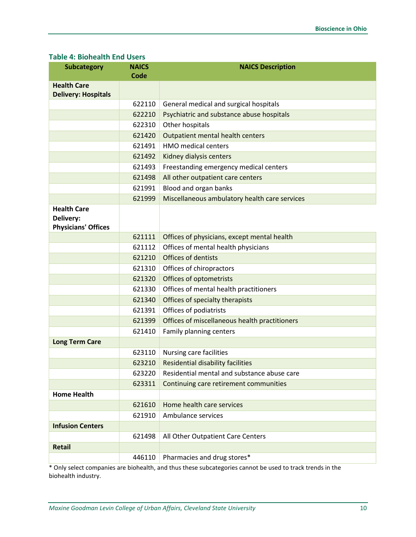#### <span id="page-13-0"></span>**Table 4: Biohealth End Users**

| <b>Subcategory</b>                                            | <b>NAICS</b><br><b>Code</b> | <b>NAICS Description</b>                      |  |
|---------------------------------------------------------------|-----------------------------|-----------------------------------------------|--|
| <b>Health Care</b><br><b>Delivery: Hospitals</b>              |                             |                                               |  |
|                                                               | 622110                      | General medical and surgical hospitals        |  |
|                                                               | 622210                      | Psychiatric and substance abuse hospitals     |  |
|                                                               | 622310                      | Other hospitals                               |  |
|                                                               | 621420                      | Outpatient mental health centers              |  |
| 621491                                                        |                             | <b>HMO</b> medical centers                    |  |
|                                                               | 621492                      | Kidney dialysis centers                       |  |
|                                                               | 621493                      | Freestanding emergency medical centers        |  |
|                                                               | 621498                      | All other outpatient care centers             |  |
|                                                               | 621991                      | Blood and organ banks                         |  |
|                                                               | 621999                      | Miscellaneous ambulatory health care services |  |
| <b>Health Care</b><br>Delivery:<br><b>Physicians' Offices</b> |                             |                                               |  |
|                                                               | 621111                      | Offices of physicians, except mental health   |  |
|                                                               | 621112                      | Offices of mental health physicians           |  |
|                                                               | 621210                      | <b>Offices of dentists</b>                    |  |
|                                                               | 621310                      | Offices of chiropractors                      |  |
|                                                               | 621320                      | <b>Offices of optometrists</b>                |  |
|                                                               | 621330                      | Offices of mental health practitioners        |  |
|                                                               | 621340                      | Offices of specialty therapists               |  |
|                                                               | 621391                      | Offices of podiatrists                        |  |
|                                                               | 621399                      | Offices of miscellaneous health practitioners |  |
|                                                               | 621410                      | Family planning centers                       |  |
| <b>Long Term Care</b>                                         |                             |                                               |  |
|                                                               | 623110                      | Nursing care facilities                       |  |
|                                                               | 623210                      | <b>Residential disability facilities</b>      |  |
|                                                               | 623220                      | Residential mental and substance abuse care   |  |
|                                                               | 623311                      | Continuing care retirement communities        |  |
| <b>Home Health</b>                                            |                             |                                               |  |
|                                                               | 621610                      | Home health care services                     |  |
|                                                               | 621910                      | Ambulance services                            |  |
| <b>Infusion Centers</b>                                       |                             |                                               |  |
|                                                               | 621498                      | All Other Outpatient Care Centers             |  |
| <b>Retail</b>                                                 |                             |                                               |  |
|                                                               | 446110                      | Pharmacies and drug stores*                   |  |

\* Only select companies are biohealth, and thus these subcategories cannot be used to track trends in the biohealth industry.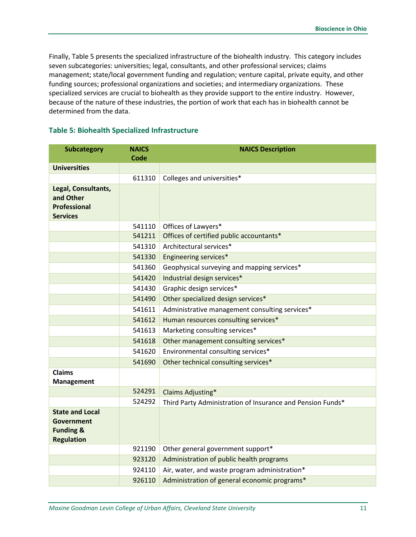Finally, Table 5 presents the specialized infrastructure of the biohealth industry. This category includes seven subcategories: universities; legal, consultants, and other professional services; claims management; state/local government funding and regulation; venture capital, private equity, and other funding sources; professional organizations and societies; and intermediary organizations. These specialized services are crucial to biohealth as they provide support to the entire industry. However, because of the nature of these industries, the portion of work that each has in biohealth cannot be determined from the data.

<span id="page-14-0"></span>

| <b>Table 5: Biohealth Specialized Infrastructure</b> |  |
|------------------------------------------------------|--|
|                                                      |  |

| <b>Subcategory</b>     | <b>NAICS</b><br><b>Code</b> | <b>NAICS Description</b>                                   |  |
|------------------------|-----------------------------|------------------------------------------------------------|--|
| <b>Universities</b>    |                             |                                                            |  |
|                        | 611310                      | Colleges and universities*                                 |  |
| Legal, Consultants,    |                             |                                                            |  |
| and Other              |                             |                                                            |  |
| Professional           |                             |                                                            |  |
| <b>Services</b>        |                             |                                                            |  |
|                        | 541110                      | Offices of Lawyers*                                        |  |
|                        | 541211                      | Offices of certified public accountants*                   |  |
|                        | 541310                      | Architectural services*                                    |  |
|                        | 541330                      | Engineering services*                                      |  |
|                        | 541360                      | Geophysical surveying and mapping services*                |  |
|                        | 541420                      | Industrial design services*                                |  |
|                        | 541430                      | Graphic design services*                                   |  |
|                        | 541490                      | Other specialized design services*                         |  |
|                        | 541611                      | Administrative management consulting services*             |  |
|                        | 541612                      | Human resources consulting services*                       |  |
|                        | 541613                      | Marketing consulting services*                             |  |
|                        | 541618                      | Other management consulting services*                      |  |
|                        | 541620                      | Environmental consulting services*                         |  |
|                        | 541690                      | Other technical consulting services*                       |  |
| <b>Claims</b>          |                             |                                                            |  |
| Management             | 524291                      | Claims Adjusting*                                          |  |
|                        | 524292                      | Third Party Administration of Insurance and Pension Funds* |  |
| <b>State and Local</b> |                             |                                                            |  |
| <b>Government</b>      |                             |                                                            |  |
| <b>Funding &amp;</b>   |                             |                                                            |  |
| <b>Regulation</b>      |                             |                                                            |  |
|                        | 921190                      | Other general government support*                          |  |
|                        | 923120                      | Administration of public health programs                   |  |
|                        | 924110                      | Air, water, and waste program administration*              |  |
|                        | 926110                      | Administration of general economic programs*               |  |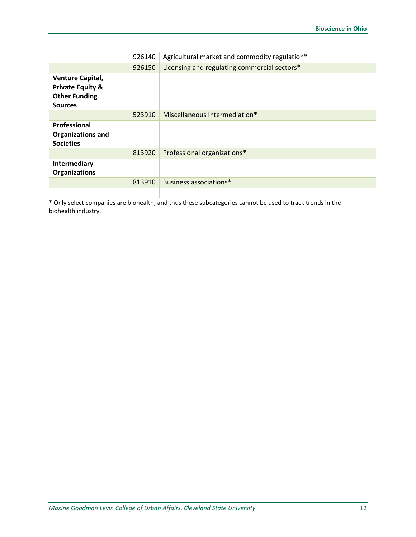|                                                                                           | 926140 | Agricultural market and commodity regulation* |  |  |
|-------------------------------------------------------------------------------------------|--------|-----------------------------------------------|--|--|
|                                                                                           | 926150 | Licensing and regulating commercial sectors*  |  |  |
| Venture Capital,<br><b>Private Equity &amp;</b><br><b>Other Funding</b><br><b>Sources</b> |        |                                               |  |  |
|                                                                                           | 523910 | Miscellaneous Intermediation*                 |  |  |
| Professional<br><b>Organizations and</b><br><b>Societies</b>                              |        |                                               |  |  |
|                                                                                           | 813920 | Professional organizations*                   |  |  |
| Intermediary<br><b>Organizations</b>                                                      |        |                                               |  |  |
|                                                                                           | 813910 | Business associations*                        |  |  |
|                                                                                           |        |                                               |  |  |

\* Only select companies are biohealth, and thus these subcategories cannot be used to track trends in the biohealth industry.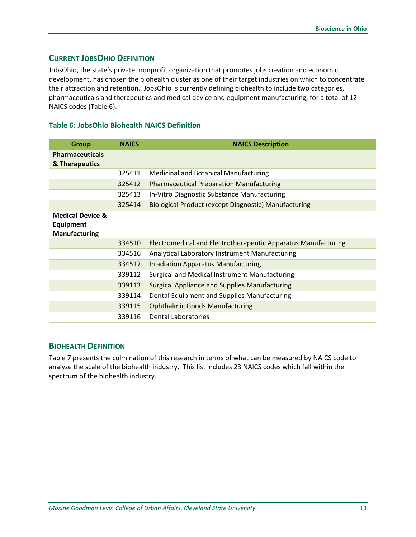## **CURRENT JOBSOHIO DEFINITION**

JobsOhio, the state's private, nonprofit organization that promotes jobs creation and economic development, has chosen the biohealth cluster as one of their target industries on which to concentrate their attraction and retention. JobsOhio is currently defining biohealth to include two categories, pharmaceuticals and therapeutics and medical device and equipment manufacturing, for a total of 12 NAICS codes (Table 6).

#### <span id="page-16-0"></span>**Table 6: JobsOhio Biohealth NAICS Definition**

| <b>Group</b>                                                            | <b>NAICS</b> | <b>NAICS Description</b>                                      |  |  |
|-------------------------------------------------------------------------|--------------|---------------------------------------------------------------|--|--|
| <b>Pharmaceuticals</b><br>& Therapeutics                                |              |                                                               |  |  |
|                                                                         | 325411       | <b>Medicinal and Botanical Manufacturing</b>                  |  |  |
|                                                                         | 325412       | <b>Pharmaceutical Preparation Manufacturing</b>               |  |  |
|                                                                         | 325413       | In-Vitro Diagnostic Substance Manufacturing                   |  |  |
|                                                                         | 325414       | Biological Product (except Diagnostic) Manufacturing          |  |  |
| <b>Medical Device &amp;</b><br><b>Equipment</b><br><b>Manufacturing</b> |              |                                                               |  |  |
|                                                                         | 334510       | Electromedical and Electrotherapeutic Apparatus Manufacturing |  |  |
|                                                                         | 334516       | Analytical Laboratory Instrument Manufacturing                |  |  |
|                                                                         | 334517       | <b>Irradiation Apparatus Manufacturing</b>                    |  |  |
|                                                                         | 339112       | Surgical and Medical Instrument Manufacturing                 |  |  |
|                                                                         | 339113       | <b>Surgical Appliance and Supplies Manufacturing</b>          |  |  |
|                                                                         | 339114       | Dental Equipment and Supplies Manufacturing                   |  |  |
|                                                                         | 339115       | <b>Ophthalmic Goods Manufacturing</b>                         |  |  |
|                                                                         | 339116       | <b>Dental Laboratories</b>                                    |  |  |

#### **BIOHEALTH DEFINITION**

Table 7 presents the culmination of this research in terms of what can be measured by NAICS code to analyze the scale of the biohealth industry. This list includes 23 NAICS codes which fall within the spectrum of the biohealth industry.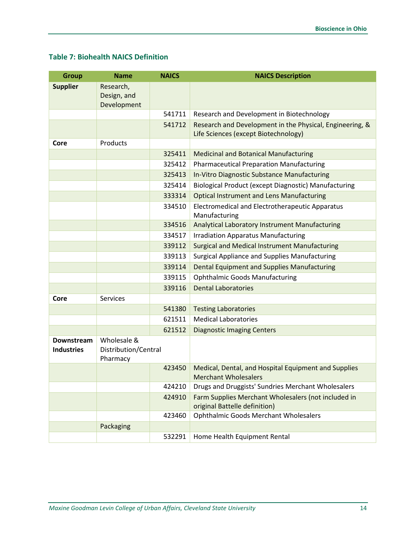# <span id="page-17-0"></span>**Table 7: Biohealth NAICS Definition**

| <b>Group</b>                    | <b>Name</b>                                     | <b>NAICS</b> | <b>NAICS Description</b>                                                             |
|---------------------------------|-------------------------------------------------|--------------|--------------------------------------------------------------------------------------|
| <b>Supplier</b>                 | Research,                                       |              |                                                                                      |
|                                 | Design, and<br>Development                      |              |                                                                                      |
|                                 |                                                 | 541711       | Research and Development in Biotechnology                                            |
|                                 |                                                 | 541712       | Research and Development in the Physical, Engineering, &                             |
|                                 |                                                 |              | Life Sciences (except Biotechnology)                                                 |
| Core                            | Products                                        |              |                                                                                      |
|                                 |                                                 | 325411       | <b>Medicinal and Botanical Manufacturing</b>                                         |
|                                 |                                                 | 325412       | <b>Pharmaceutical Preparation Manufacturing</b>                                      |
|                                 |                                                 | 325413       | In-Vitro Diagnostic Substance Manufacturing                                          |
|                                 |                                                 | 325414       | Biological Product (except Diagnostic) Manufacturing                                 |
|                                 |                                                 | 333314       | <b>Optical Instrument and Lens Manufacturing</b>                                     |
|                                 |                                                 | 334510       | Electromedical and Electrotherapeutic Apparatus<br>Manufacturing                     |
|                                 |                                                 | 334516       | Analytical Laboratory Instrument Manufacturing                                       |
|                                 |                                                 | 334517       | <b>Irradiation Apparatus Manufacturing</b>                                           |
|                                 |                                                 | 339112       | <b>Surgical and Medical Instrument Manufacturing</b>                                 |
|                                 |                                                 | 339113       | Surgical Appliance and Supplies Manufacturing                                        |
|                                 |                                                 | 339114       | <b>Dental Equipment and Supplies Manufacturing</b>                                   |
|                                 |                                                 | 339115       | <b>Ophthalmic Goods Manufacturing</b>                                                |
|                                 |                                                 | 339116       | <b>Dental Laboratories</b>                                                           |
| Core                            | <b>Services</b>                                 |              |                                                                                      |
|                                 |                                                 | 541380       | <b>Testing Laboratories</b>                                                          |
|                                 |                                                 | 621511       | <b>Medical Laboratories</b>                                                          |
|                                 |                                                 | 621512       | <b>Diagnostic Imaging Centers</b>                                                    |
| Downstream<br><b>Industries</b> | Wholesale &<br>Distribution/Central<br>Pharmacy |              |                                                                                      |
|                                 |                                                 | 423450       | Medical, Dental, and Hospital Equipment and Supplies<br><b>Merchant Wholesalers</b>  |
|                                 |                                                 | 424210       | Drugs and Druggists' Sundries Merchant Wholesalers                                   |
|                                 |                                                 | 424910       | Farm Supplies Merchant Wholesalers (not included in<br>original Battelle definition) |
|                                 |                                                 | 423460       | <b>Ophthalmic Goods Merchant Wholesalers</b>                                         |
|                                 | Packaging                                       |              |                                                                                      |
|                                 |                                                 | 532291       | Home Health Equipment Rental                                                         |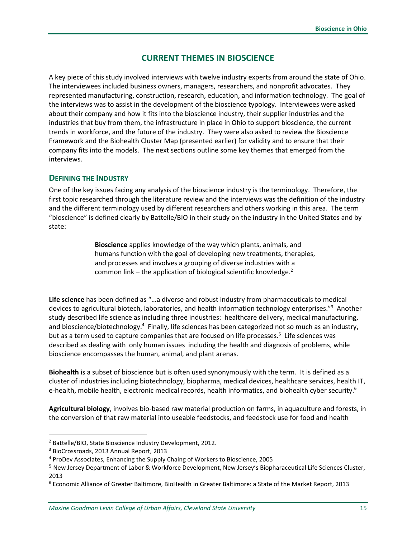# **CURRENT THEMES IN BIOSCIENCE**

A key piece of this study involved interviews with twelve industry experts from around the state of Ohio. The interviewees included business owners, managers, researchers, and nonprofit advocates. They represented manufacturing, construction, research, education, and information technology. The goal of the interviews was to assist in the development of the bioscience typology. Interviewees were asked about their company and how it fits into the bioscience industry, their supplier industries and the industries that buy from them, the infrastructure in place in Ohio to support bioscience, the current trends in workforce, and the future of the industry. They were also asked to review the Bioscience Framework and the Biohealth Cluster Map (presented earlier) for validity and to ensure that their company fits into the models. The next sections outline some key themes that emerged from the interviews.

#### **DEFINING THE INDUSTRY**

One of the key issues facing any analysis of the bioscience industry is the terminology. Therefore, the first topic researched through the literature review and the interviews was the definition of the industry and the different terminology used by different researchers and others working in this area. The term "bioscience" is defined clearly by Battelle/BIO in their study on the industry in the United States and by state:

> **Bioscience** applies knowledge of the way which plants, animals, and humans function with the goal of developing new treatments, therapies, and processes and involves a grouping of diverse industries with a common link – the application of biological scientific knowledge.<sup>2</sup>

**Life science** has been defined as "…a diverse and robust industry from pharmaceuticals to medical devices to agricultural biotech, laboratories, and health information technology enterprises."<sup>3</sup> Another study described life science as including three industries: healthcare delivery, medical manufacturing, and bioscience/biotechnology.<sup>4</sup> Finally, life sciences has been categorized not so much as an industry, but as a term used to capture companies that are focused on life processes.<sup>5</sup> Life sciences was described as dealing with only human issues including the health and diagnosis of problems, while bioscience encompasses the human, animal, and plant arenas.

**Biohealth** is a subset of bioscience but is often used synonymously with the term. It is defined as a cluster of industries including biotechnology, biopharma, medical devices, healthcare services, health IT, e-health, mobile health, electronic medical records, health informatics, and biohealth cyber security.<sup>6</sup>

**Agricultural biology**, involves bio-based raw material production on farms, in aquaculture and forests, in the conversion of that raw material into useable feedstocks, and feedstock use for food and health

<sup>2</sup> Battelle/BIO, State Bioscience Industry Development, 2012.

<sup>3</sup> BioCrossroads, 2013 Annual Report, 2013

<sup>4</sup> ProDev Associates, Enhancing the Supply Chaing of Workers to Bioscience, 2005

<sup>5</sup> New Jersey Department of Labor & Workforce Development, New Jersey's Biopharaceutical Life Sciences Cluster, 2013

<sup>6</sup> Economic Alliance of Greater Baltimore, BioHealth in Greater Baltimore: a State of the Market Report, 2013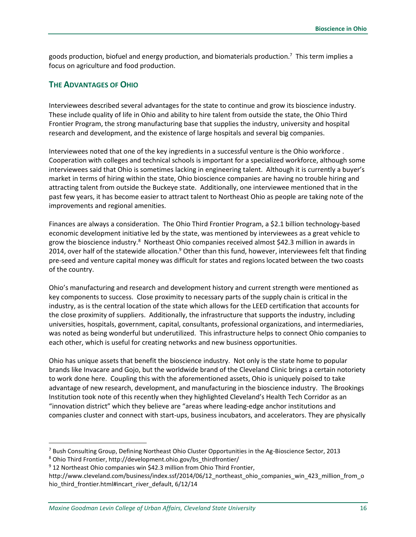goods production, biofuel and energy production, and biomaterials production.<sup>7</sup> This term implies a focus on agriculture and food production.

## **THE ADVANTAGES OF OHIO**

Interviewees described several advantages for the state to continue and grow its bioscience industry. These include quality of life in Ohio and ability to hire talent from outside the state, the Ohio Third Frontier Program, the strong manufacturing base that supplies the industry, university and hospital research and development, and the existence of large hospitals and several big companies.

Interviewees noted that one of the key ingredients in a successful venture is the Ohio workforce . Cooperation with colleges and technical schools is important for a specialized workforce, although some interviewees said that Ohio is sometimes lacking in engineering talent. Although it is currently a buyer's market in terms of hiring within the state, Ohio bioscience companies are having no trouble hiring and attracting talent from outside the Buckeye state. Additionally, one interviewee mentioned that in the past few years, it has become easier to attract talent to Northeast Ohio as people are taking note of the improvements and regional amenities.

Finances are always a consideration. The Ohio Third Frontier Program, a \$2.1 billion technology-based economic development initiative led by the state, was mentioned by interviewees as a great vehicle to grow the bioscience industry.<sup>8</sup> Northeast Ohio companies received almost \$42.3 million in awards in 2014, over half of the statewide allocation.<sup>9</sup> Other than this fund, however, interviewees felt that finding pre-seed and venture capital money was difficult for states and regions located between the two coasts of the country.

Ohio's manufacturing and research and development history and current strength were mentioned as key components to success. Close proximity to necessary parts of the supply chain is critical in the industry, as is the central location of the state which allows for the LEED certification that accounts for the close proximity of suppliers. Additionally, the infrastructure that supports the industry, including universities, hospitals, government, capital, consultants, professional organizations, and intermediaries, was noted as being wonderful but underutilized. This infrastructure helps to connect Ohio companies to each other, which is useful for creating networks and new business opportunities.

Ohio has unique assets that benefit the bioscience industry. Not only is the state home to popular brands like Invacare and Gojo, but the worldwide brand of the Cleveland Clinic brings a certain notoriety to work done here. Coupling this with the aforementioned assets, Ohio is uniquely poised to take advantage of new research, development, and manufacturing in the bioscience industry. The Brookings Institution took note of this recently when they highlighted Cleveland's Health Tech Corridor as an "innovation district" which they believe are "areas where leading-edge anchor institutions and companies cluster and connect with start-ups, business incubators, and accelerators. They are physically

<sup>7</sup> Bush Consulting Group, Defining Northeast Ohio Cluster Opportunities in the Ag-Bioscience Sector, 2013

<sup>&</sup>lt;sup>8</sup> Ohio Third Frontier, http://development.ohio.gov/bs\_thirdfrontier/

 $9$  12 Northeast Ohio companies win \$42.3 million from Ohio Third Frontier,

http://www.cleveland.com/business/index.ssf/2014/06/12\_northeast\_ohio\_companies\_win\_423\_million\_from\_o hio\_third\_frontier.html#incart\_river\_default, 6/12/14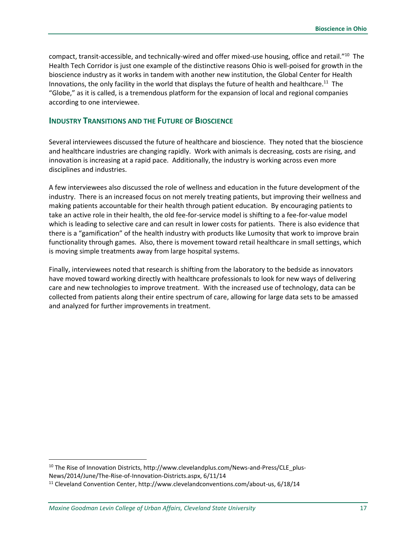compact, transit-accessible, and technically-wired and offer mixed-use housing, office and retail."<sup>10</sup> The Health Tech Corridor is just one example of the distinctive reasons Ohio is well-poised for growth in the bioscience industry as it works in tandem with another new institution, the Global Center for Health Innovations, the only facility in the world that displays the future of health and healthcare.<sup>11</sup> The "Globe," as it is called, is a tremendous platform for the expansion of local and regional companies according to one interviewee.

#### **INDUSTRY TRANSITIONS AND THE FUTURE OF BIOSCIENCE**

Several interviewees discussed the future of healthcare and bioscience. They noted that the bioscience and healthcare industries are changing rapidly. Work with animals is decreasing, costs are rising, and innovation is increasing at a rapid pace. Additionally, the industry is working across even more disciplines and industries.

A few interviewees also discussed the role of wellness and education in the future development of the industry. There is an increased focus on not merely treating patients, but improving their wellness and making patients accountable for their health through patient education. By encouraging patients to take an active role in their health, the old fee-for-service model is shifting to a fee-for-value model which is leading to selective care and can result in lower costs for patients. There is also evidence that there is a "gamification" of the health industry with products like Lumosity that work to improve brain functionality through games. Also, there is movement toward retail healthcare in small settings, which is moving simple treatments away from large hospital systems.

Finally, interviewees noted that research is shifting from the laboratory to the bedside as innovators have moved toward working directly with healthcare professionals to look for new ways of delivering care and new technologies to improve treatment. With the increased use of technology, data can be collected from patients along their entire spectrum of care, allowing for large data sets to be amassed and analyzed for further improvements in treatment.

<sup>&</sup>lt;sup>10</sup> The Rise of Innovation Districts, http://www.clevelandplus.com/News-and-Press/CLE\_plus-News/2014/June/The-Rise-of-Innovation-Districts.aspx, 6/11/14

<sup>11</sup> Cleveland Convention Center, http://www.clevelandconventions.com/about-us, 6/18/14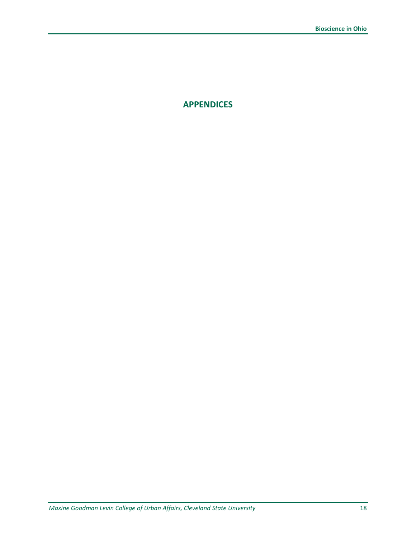**APPENDICES**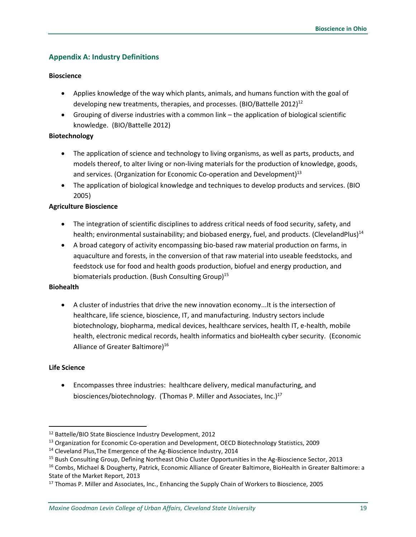## <span id="page-22-0"></span>**Appendix A: Industry Definitions**

#### **Bioscience**

- Applies knowledge of the way which plants, animals, and humans function with the goal of developing new treatments, therapies, and processes. (BIO/Battelle 2012)<sup>12</sup>
- Grouping of diverse industries with a common link the application of biological scientific knowledge. (BIO/Battelle 2012)

#### **Biotechnology**

- The application of science and technology to living organisms, as well as parts, products, and models thereof, to alter living or non-living materials for the production of knowledge, goods, and services. (Organization for Economic Co-operation and Development)<sup>13</sup>
- The application of biological knowledge and techniques to develop products and services. (BIO 2005)

#### **Agriculture Bioscience**

- The integration of scientific disciplines to address critical needs of food security, safety, and health; environmental sustainability; and biobased energy, fuel, and products. (ClevelandPlus)<sup>14</sup>
- A broad category of activity encompassing bio-based raw material production on farms, in aquaculture and forests, in the conversion of that raw material into useable feedstocks, and feedstock use for food and health goods production, biofuel and energy production, and biomaterials production. (Bush Consulting Group)<sup>15</sup>

#### **Biohealth**

 A cluster of industries that drive the new innovation economy...It is the intersection of healthcare, life science, bioscience, IT, and manufacturing. Industry sectors include biotechnology, biopharma, medical devices, healthcare services, health IT, e-health, mobile health, electronic medical records, health informatics and bioHealth cyber security. (Economic Alliance of Greater Baltimore)<sup>16</sup>

#### **Life Science**

 $\overline{a}$ 

 Encompasses three industries: healthcare delivery, medical manufacturing, and biosciences/biotechnology. (Thomas P. Miller and Associates, Inc.)<sup>17</sup>

<sup>12</sup> Battelle/BIO State Bioscience Industry Development, 2012

<sup>&</sup>lt;sup>13</sup> Organization for Economic Co-operation and Development, OECD Biotechnology Statistics, 2009

<sup>&</sup>lt;sup>14</sup> Cleveland Plus, The Emergence of the Ag-Bioscience Industry, 2014

<sup>15</sup> Bush Consulting Group, Defining Northeast Ohio Cluster Opportunities in the Ag-Bioscience Sector, 2013

<sup>&</sup>lt;sup>16</sup> Combs, Michael & Dougherty, Patrick, Economic Alliance of Greater Baltimore, BioHealth in Greater Baltimore: a State of the Market Report, 2013

<sup>&</sup>lt;sup>17</sup> Thomas P. Miller and Associates, Inc., Enhancing the Supply Chain of Workers to Bioscience, 2005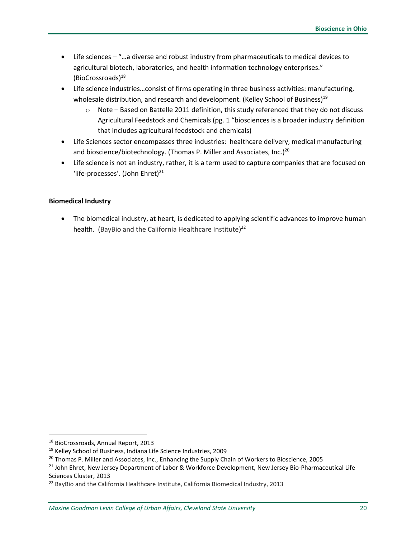- Life sciences "…a diverse and robust industry from pharmaceuticals to medical devices to agricultural biotech, laboratories, and health information technology enterprises." (BioCrossroads)<sup>18</sup>
- Life science industries…consist of firms operating in three business activities: manufacturing, wholesale distribution, and research and development. (Kelley School of Business)<sup>19</sup>
	- $\circ$  Note Based on Battelle 2011 definition, this study referenced that they do not discuss Agricultural Feedstock and Chemicals (pg. 1 "biosciences is a broader industry definition that includes agricultural feedstock and chemicals)
- Life Sciences sector encompasses three industries: healthcare delivery, medical manufacturing and bioscience/biotechnology. (Thomas P. Miller and Associates, Inc.)<sup>20</sup>
- Life science is not an industry, rather, it is a term used to capture companies that are focused on 'life-processes'. (John Ehret)<sup>21</sup>

#### **Biomedical Industry**

 The biomedical industry, at heart, is dedicated to applying scientific advances to improve human health. (BayBio and the California Healthcare Institute)<sup>22</sup>

<sup>18</sup> BioCrossroads, Annual Report, 2013

<sup>19</sup> Kelley School of Business, Indiana Life Science Industries, 2009

<sup>&</sup>lt;sup>20</sup> Thomas P. Miller and Associates, Inc., Enhancing the Supply Chain of Workers to Bioscience, 2005

<sup>&</sup>lt;sup>21</sup> John Ehret, New Jersey Department of Labor & Workforce Development, New Jersey Bio-Pharmaceutical Life Sciences Cluster, 2013

<sup>&</sup>lt;sup>22</sup> BayBio and the California Healthcare Institute, California Biomedical Industry, 2013